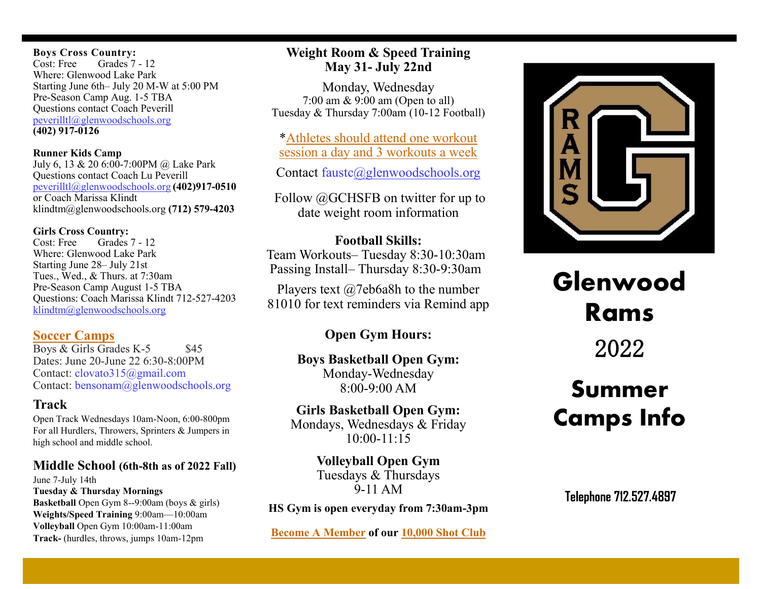#### **Boys Cross Country:**

Cost: Free Grades 7 - 12 Where: Glenwood Lake Park Starting June 6th– July 20 M-W at 5:00 PM Pre-Season Camp Aug. 1-5 TBA Questions contact Coach Peverill [peverilltl@glenwoodschools.org](mailto:peverilltl@glenwoodschools.org) **(402) 917-0126**

#### **Runner Kids Camp**

July 6, 13 & 20 6:00-7:00PM @ Lake Park Questions contact Coach Lu Peverill [peverilltl@glenwoodschools.org](mailto:peverilltl@glenwoodschools.org) **(402)917-0510** or Coach Marissa Klindt klindtm@glenwoodschools.org **(712) 579-4203**

#### **Girls Cross Country:**

Cost: Free Grades 7 - 12 Where: Glenwood Lake Park Starting June 28– July 21st Tues., Wed., & Thurs. at 7:30am Pre-Season Camp August 1-5 TBA Questions: Coach Marissa Klindt 712-527-4203 [klindtm@glenwoodschools.org](mailto:klindtm@glenwoodschools.org)

## **[Soccer Camps](https://docs.google.com/document/d/1qVddvE9S5g-MWmJqWNV_F8fdWWANxixH/edit?usp=sharing&ouid=109546084787463013843&rtpof=true&sd=true)**

Boys  $&$  Girls Grades K-5  $&$  \$45 Dates: June 20-June 22 6:30-8:00PM Contact: clovato315@gmail.com Contact: bensonam@glenwoodschools.org

# **Track**

Open Track Wednesdays 10am-Noon, 6:00-800pm For all Hurdlers, Throwers, Sprinters & Jumpers in high school and middle school.

# **Middle School (6th-8th as of 2022 Fall)**

June 7-July 14th **Tuesday & Thursday Mornings Basketball** Open Gym 8--9:00am (boys & girls) **Weights/Speed Training** 9:00am—10:00am **Volleyball** Open Gym 10:00am-11:00am **Track-** (hurdles, throws, jumps 10am-12pm

# **Weight Room & Speed Training May 31- July 22nd**

Monday, Wednesday 7:00 am & 9:00 am (Open to all) Tuesday & Thursday 7:00am (10-12 Football)

\*[Athletes should attend one workout](https://docs.google.com/drawings/d/1hlXCiqCzXr8nNd2AS2yfSw_0t7Swy5hQFa2P14I8eXc/edit?usp=sharing)  [session a day and 3 workouts a week](https://docs.google.com/drawings/d/1hlXCiqCzXr8nNd2AS2yfSw_0t7Swy5hQFa2P14I8eXc/edit?usp=sharing)

Contact faust[c@glenwoodschools.org](mailto:faustc@glenwoodschools.org)

Follow @GCHSFB on twitter for up to date weight room information

# **Football Skills:**

Team Workouts– Tuesday 8:30-10:30am Passing Install– Thursday 8:30-9:30am

Players text @7eb6a8h to the number 81010 for text reminders via Remind app

# **Open Gym Hours:**

# **Boys Basketball Open Gym:**  Monday-Wednesday  $8.00 - 9.00$  AM

# **Girls Basketball Open Gym:**  Mondays, Wednesdays & Friday

10:00-11:15

# **Volleyball Open Gym** Tuesdays & Thursdays 9-11 AM

# **HS Gym is open everyday from 7:30am-3pm**

**[Become A Member](https://docs.google.com/document/d/1dQC9fgwnnGDJvNSX_bbTFtVMXZ4Z4LpoODlklmCGY1Y/edit?usp=sharing) of our [10,000 Shot Club](https://docs.google.com/spreadsheets/d/1EU6vqyDAqINzV00EGm0GTwoGJrJ_HmtGM0Cs5wGv8eE/edit?usp=sharing)**



# **Glenwood Rams**

2022

# **Summer Camps Info**

Telephone 712.527.4897